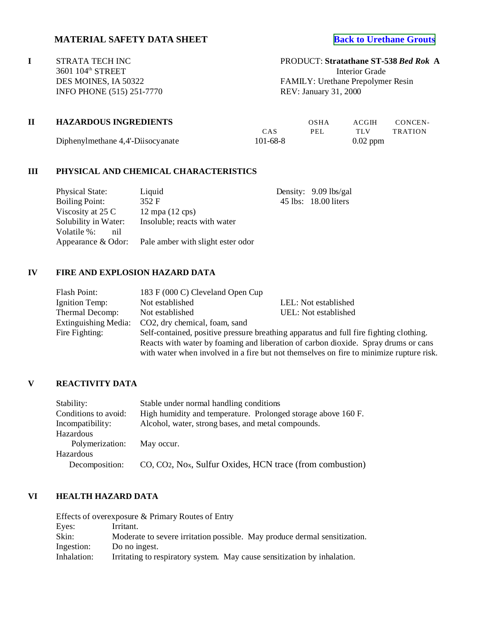# **MATERIAL SAFETY DATA SHEET [Back to Urethane Grouts](http://www.strata-tech.com/urethane.html#538)**

**I** STRATA TECH INC PRODUCT: **Stratathane ST-538** *Bed Rok* **A** 3601 104<sup>th</sup> STREET Interior Grade INFO PHONE (515) 251-7770

DES MOINES, IA 50322 FAMILY: Urethane Prepolymer Resin<br>INFO PHONE (515) 251-7770 REV: January 31, 2000

| <b>HAZARDOUS INGREDIENTS</b>      |                | OSHA | ACGIH      | CONCEN-        |
|-----------------------------------|----------------|------|------------|----------------|
|                                   | CAS            | PEL. | TI V       | <b>TRATION</b> |
| Diphenylmethane 4,4'-Diisocyanate | $101 - 68 - 8$ |      | $0.02$ ppm |                |

### **III PHYSICAL AND CHEMICAL CHARACTERISTICS**

| <b>Physical State:</b> | Liquid                                                  | Density: 9.09 lbs/gal |
|------------------------|---------------------------------------------------------|-----------------------|
| <b>Boiling Point:</b>  | 352 F                                                   | 45 lbs: 18.00 liters  |
| Viscosity at 25 C      | $12 \text{ mpa} (12 \text{ cps})$                       |                       |
| Solubility in Water:   | Insoluble; reacts with water                            |                       |
| Volatile %:<br>nil     |                                                         |                       |
|                        | Appearance $& Odor$ : Pale amber with slight ester odor |                       |

# **IV FIRE AND EXPLOSION HAZARD DATA**

| Flash Point:         | 183 F (000 C) Cleveland Open Cup                                                   |                                                                                         |  |  |
|----------------------|------------------------------------------------------------------------------------|-----------------------------------------------------------------------------------------|--|--|
| Ignition Temp:       | Not established                                                                    | LEL: Not established                                                                    |  |  |
| Thermal Decomp:      | Not established                                                                    | UEL: Not established                                                                    |  |  |
| Extinguishing Media: | CO2, dry chemical, foam, sand                                                      |                                                                                         |  |  |
| Fire Fighting:       |                                                                                    | Self-contained, positive pressure breathing apparatus and full fire fighting clothing.  |  |  |
|                      | Reacts with water by foaming and liberation of carbon dioxide. Spray drums or cans |                                                                                         |  |  |
|                      |                                                                                    | with water when involved in a fire but not themselves on fire to minimize rupture risk. |  |  |

## **V REACTIVITY DATA**

| Stability:           | Stable under normal handling conditions                                            |
|----------------------|------------------------------------------------------------------------------------|
| Conditions to avoid: | High humidity and temperature. Prolonged storage above 160 F.                      |
| Incompatibility:     | Alcohol, water, strong bases, and metal compounds.                                 |
| Hazardous            |                                                                                    |
| Polymerization:      | May occur.                                                                         |
| Hazardous            |                                                                                    |
| Decomposition:       | CO, CO <sub>2</sub> , No <sub>x</sub> , Sulfur Oxides, HCN trace (from combustion) |

### **VI HEALTH HAZARD DATA**

|             | Effects of overexposure & Primary Routes of Entry                         |
|-------------|---------------------------------------------------------------------------|
| Eyes:       | Irritant.                                                                 |
| Skin:       | Moderate to severe irritation possible. May produce dermal sensitization. |
| Ingestion:  | Do no ingest.                                                             |
| Inhalation: | Irritating to respiratory system. May cause sensitization by inhalation.  |